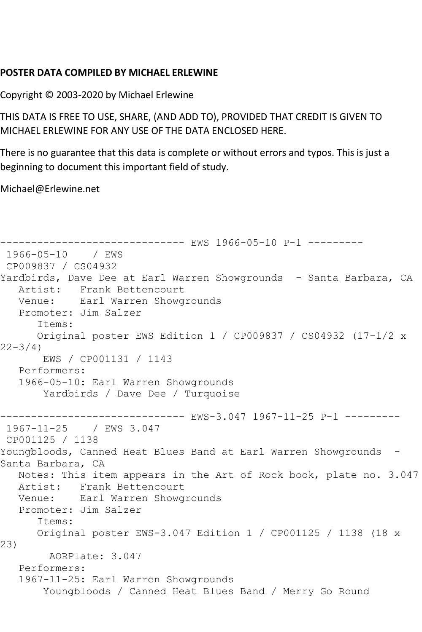## **POSTER DATA COMPILED BY MICHAEL ERLEWINE**

Copyright © 2003-2020 by Michael Erlewine

THIS DATA IS FREE TO USE, SHARE, (AND ADD TO), PROVIDED THAT CREDIT IS GIVEN TO MICHAEL ERLEWINE FOR ANY USE OF THE DATA ENCLOSED HERE.

There is no guarantee that this data is complete or without errors and typos. This is just a beginning to document this important field of study.

Michael@Erlewine.net

```
------------------------------ EWS 1966-05-10 P-1 ---------
1966-05-10 / EWS 
CP009837 / CS04932
Yardbirds, Dave Dee at Earl Warren Showgrounds - Santa Barbara, CA
   Artist: Frank Bettencourt
   Venue: Earl Warren Showgrounds
   Promoter: Jim Salzer
       Items:
       Original poster EWS Edition 1 / CP009837 / CS04932 (17-1/2 x 
22 - 3/4 EWS / CP001131 / 1143
    Performers:
   1966-05-10: Earl Warren Showgrounds
        Yardbirds / Dave Dee / Turquoise
      ------------------------------ EWS-3.047 1967-11-25 P-1 ---------
1967-11-25 / EWS 3.047
CP001125 / 1138
Youngbloods, Canned Heat Blues Band at Earl Warren Showgrounds -
Santa Barbara, CA
   Notes: This item appears in the Art of Rock book, plate no. 3.047
  Artist: Frank Bettencourt<br>Venue: Earl Warren Showg
          Earl Warren Showgrounds
   Promoter: Jim Salzer
       Items:
       Original poster EWS-3.047 Edition 1 / CP001125 / 1138 (18 x 
23)
         AORPlate: 3.047 
    Performers:
    1967-11-25: Earl Warren Showgrounds
        Youngbloods / Canned Heat Blues Band / Merry Go Round
```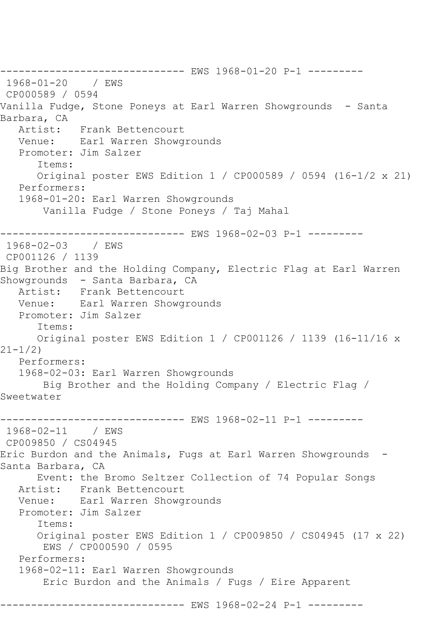------------------------------ EWS 1968-01-20 P-1 --------- 1968-01-20 / EWS CP000589 / 0594 Vanilla Fudge, Stone Poneys at Earl Warren Showgrounds - Santa Barbara, CA<br>Artist: Frank Bettencourt Venue: Earl Warren Showgrounds Promoter: Jim Salzer Items: Original poster EWS Edition 1 / CP000589 / 0594 (16-1/2 x 21) Performers: 1968-01-20: Earl Warren Showgrounds Vanilla Fudge / Stone Poneys / Taj Mahal ------------ EWS 1968-02-03 P-1 ---------1968-02-03 / EWS CP001126 / 1139 Big Brother and the Holding Company, Electric Flag at Earl Warren Showgrounds - Santa Barbara, CA Artist: Frank Bettencourt Venue: Earl Warren Showgrounds Promoter: Jim Salzer Items: Original poster EWS Edition 1 / CP001126 / 1139 (16-11/16 x 21-1/2) Performers: 1968-02-03: Earl Warren Showgrounds Big Brother and the Holding Company / Electric Flag / Sweetwater ------------------------------ EWS 1968-02-11 P-1 --------- 1968-02-11 / EWS CP009850 / CS04945 Eric Burdon and the Animals, Fugs at Earl Warren Showgrounds - Santa Barbara, CA Event: the Bromo Seltzer Collection of 74 Popular Songs Artist: Frank Bettencourt Venue: Earl Warren Showgrounds Promoter: Jim Salzer Items: Original poster EWS Edition 1 / CP009850 / CS04945 (17 x 22) EWS / CP000590 / 0595 Performers: 1968-02-11: Earl Warren Showgrounds Eric Burdon and the Animals / Fugs / Eire Apparent --------- EWS 1968-02-24 P-1 ---------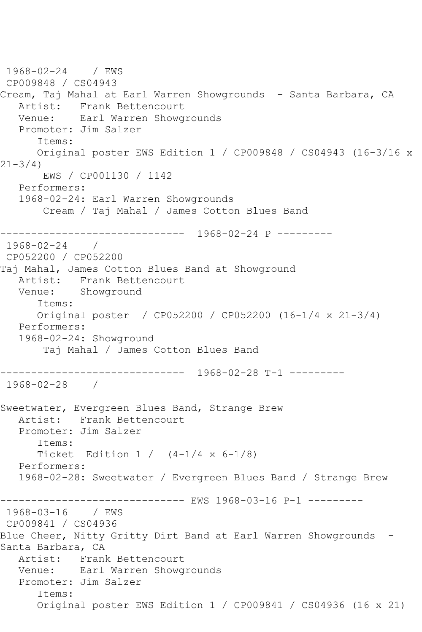1968-02-24 / EWS CP009848 / CS04943 Cream, Taj Mahal at Earl Warren Showgrounds - Santa Barbara, CA Artist: Frank Bettencourt<br>Venue: Earl Warren Showg Earl Warren Showgrounds Promoter: Jim Salzer Items: Original poster EWS Edition 1 / CP009848 / CS04943 (16-3/16 x  $21 - 3/4$ ) EWS / CP001130 / 1142 Performers: 1968-02-24: Earl Warren Showgrounds Cream / Taj Mahal / James Cotton Blues Band ------------------------------ 1968-02-24 P --------- 1968-02-24 / CP052200 / CP052200 Taj Mahal, James Cotton Blues Band at Showground Artist: Frank Bettencourt Venue: Showground Items: Original poster / CP052200 / CP052200 (16-1/4 x 21-3/4) Performers: 1968-02-24: Showground Taj Mahal / James Cotton Blues Band ------------------------------ 1968-02-28 T-1 --------- 1968-02-28 / Sweetwater, Evergreen Blues Band, Strange Brew Artist: Frank Bettencourt Promoter: Jim Salzer Items: Ticket Edition  $1 / (4-1/4 \times 6-1/8)$  Performers: 1968-02-28: Sweetwater / Evergreen Blues Band / Strange Brew ------------------------------ EWS 1968-03-16 P-1 --------- 1968-03-16 / EWS CP009841 / CS04936 Blue Cheer, Nitty Gritty Dirt Band at Earl Warren Showgrounds - Santa Barbara, CA Artist: Frank Bettencourt Venue: Earl Warren Showgrounds Promoter: Jim Salzer Items: Original poster EWS Edition 1 / CP009841 / CS04936 (16 x 21)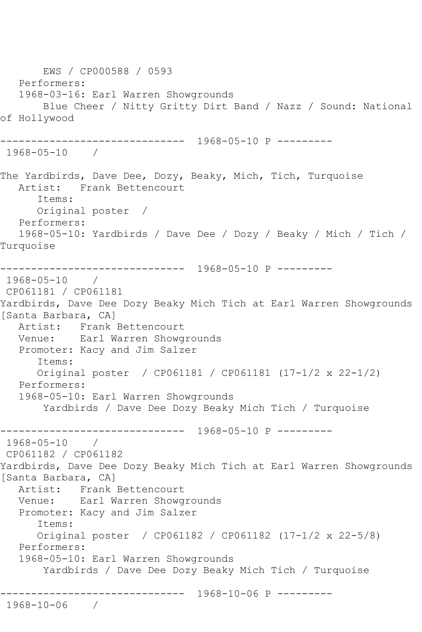EWS / CP000588 / 0593 Performers: 1968-03-16: Earl Warren Showgrounds Blue Cheer / Nitty Gritty Dirt Band / Nazz / Sound: National of Hollywood ------------------------------ 1968-05-10 P --------- 1968-05-10 / The Yardbirds, Dave Dee, Dozy, Beaky, Mich, Tich, Turquoise Artist: Frank Bettencourt Items: Original poster / Performers: 1968-05-10: Yardbirds / Dave Dee / Dozy / Beaky / Mich / Tich / Turquoise ------------------------------ 1968-05-10 P --------- 1968-05-10 / CP061181 / CP061181 Yardbirds, Dave Dee Dozy Beaky Mich Tich at Earl Warren Showgrounds [Santa Barbara, CA] Artist: Frank Bettencourt Venue: Earl Warren Showgrounds Promoter: Kacy and Jim Salzer Items: Original poster / CP061181 / CP061181 (17-1/2 x 22-1/2) Performers: 1968-05-10: Earl Warren Showgrounds Yardbirds / Dave Dee Dozy Beaky Mich Tich / Turquoise ------------------------------ 1968-05-10 P --------- 1968-05-10 / CP061182 / CP061182 Yardbirds, Dave Dee Dozy Beaky Mich Tich at Earl Warren Showgrounds [Santa Barbara, CA] Artist: Frank Bettencourt Venue: Earl Warren Showgrounds Promoter: Kacy and Jim Salzer Items: Original poster / CP061182 / CP061182 (17-1/2 x 22-5/8) Performers: 1968-05-10: Earl Warren Showgrounds Yardbirds / Dave Dee Dozy Beaky Mich Tich / Turquoise ------------------------------ 1968-10-06 P --------- 1968-10-06 /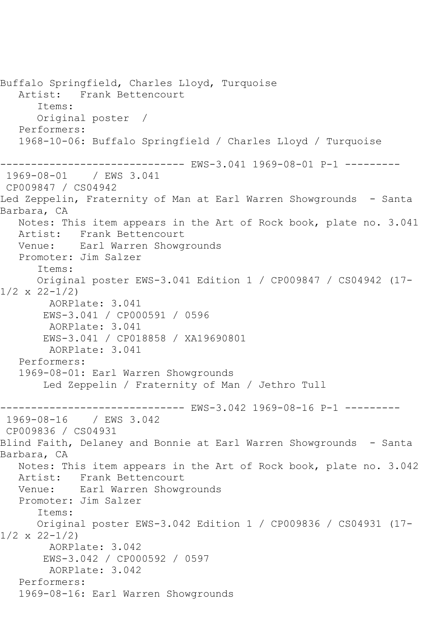Buffalo Springfield, Charles Lloyd, Turquoise<br>Artist: Frank Bettencourt Frank Bettencourt Items: Original poster / Performers: 1968-10-06: Buffalo Springfield / Charles Lloyd / Turquoise ------------ EWS-3.041 1969-08-01 P-1 ---------1969-08-01 / EWS 3.041 CP009847 / CS04942 Led Zeppelin, Fraternity of Man at Earl Warren Showgrounds - Santa Barbara, CA Notes: This item appears in the Art of Rock book, plate no. 3.041 Artist: Frank Bettencourt Venue: Earl Warren Showgrounds Promoter: Jim Salzer Items: Original poster EWS-3.041 Edition 1 / CP009847 / CS04942 (17- 1/2 x 22-1/2) AORPlate: 3.041 EWS-3.041 / CP000591 / 0596 AORPlate: 3.041 EWS-3.041 / CP018858 / XA19690801 AORPlate: 3.041 Performers: 1969-08-01: Earl Warren Showgrounds Led Zeppelin / Fraternity of Man / Jethro Tull ------------------------------ EWS-3.042 1969-08-16 P-1 --------- 1969-08-16 CP009836 / CS04931 Blind Faith, Delaney and Bonnie at Earl Warren Showgrounds - Santa Barbara, CA Notes: This item appears in the Art of Rock book, plate no. 3.042 Artist: Frank Bettencourt Venue: Earl Warren Showgrounds Promoter: Jim Salzer Items: Original poster EWS-3.042 Edition 1 / CP009836 / CS04931 (17-  $1/2 \times 22 - 1/2$  AORPlate: 3.042 EWS-3.042 / CP000592 / 0597 AORPlate: 3.042 Performers: 1969-08-16: Earl Warren Showgrounds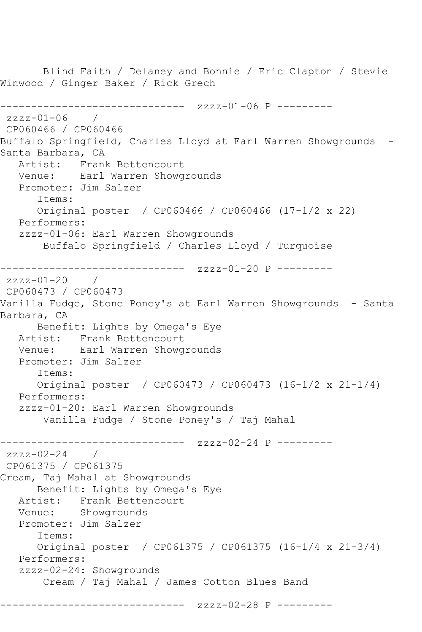Blind Faith / Delaney and Bonnie / Eric Clapton / Stevie Winwood / Ginger Baker / Rick Grech ------------------------------ zzzz-01-06 P --------  $zzzz - 01 - 06$ CP060466 / CP060466 Buffalo Springfield, Charles Lloyd at Earl Warren Showgrounds -Santa Barbara, CA Artist: Frank Bettencourt Venue: Earl Warren Showgrounds Promoter: Jim Salzer Items: Original poster / CP060466 / CP060466 (17-1/2 x 22) Performers: zzzz-01-06: Earl Warren Showgrounds Buffalo Springfield / Charles Lloyd / Turquoise ------------------------------ zzzz-01-20 P -------- zzzz-01-20 / CP060473 / CP060473 Vanilla Fudge, Stone Poney's at Earl Warren Showgrounds - Santa Barbara, CA Benefit: Lights by Omega's Eye Artist: Frank Bettencourt Venue: Earl Warren Showgrounds Promoter: Jim Salzer Items: Original poster / CP060473 / CP060473 (16-1/2 x 21-1/4) Performers: zzzz-01-20: Earl Warren Showgrounds Vanilla Fudge / Stone Poney's / Taj Mahal ------------------------------ zzzz-02-24 P --------  $zzzz-02-24$  / CP061375 / CP061375 Cream, Taj Mahal at Showgrounds Benefit: Lights by Omega's Eye Artist: Frank Bettencourt Venue: Showgrounds Promoter: Jim Salzer Items: Original poster / CP061375 / CP061375 (16-1/4 x 21-3/4) Performers: zzzz-02-24: Showgrounds Cream / Taj Mahal / James Cotton Blues Band ------------------ zzzz-02-28 P ---------